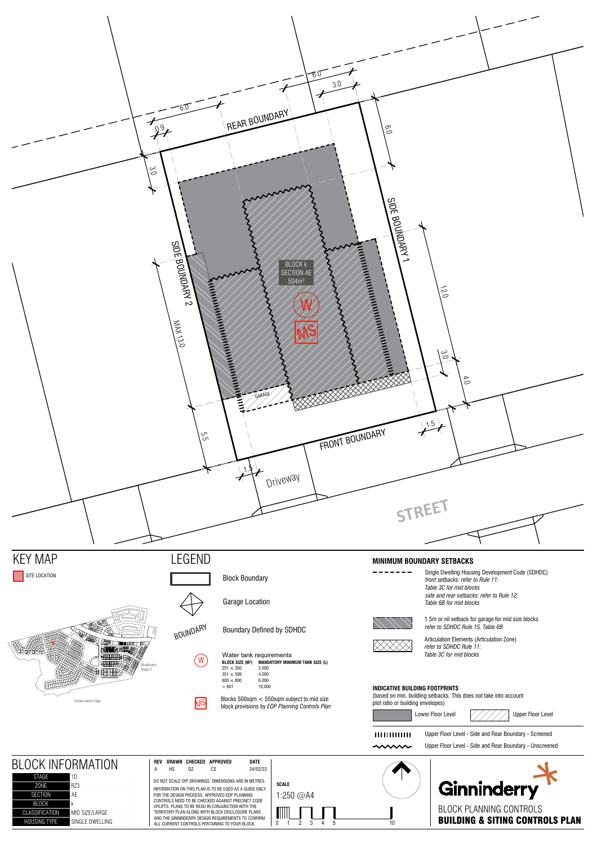